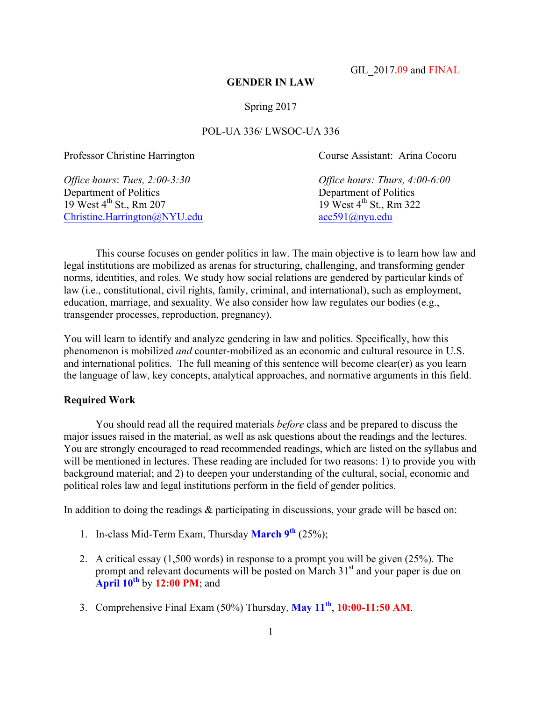GIL 2017.09 and FINAL

#### **GENDER IN LAW**

## Spring 2017

# POL-UA 336/ LWSOC-UA 336

Department of Politics<br>
19 West 4<sup>th</sup> St., Rm 207<br>
19 West 4<sup>th</sup> St., Rm 322  $19$  West  $4<sup>th</sup>$  St., Rm 207 Christine.Harrington@NYU.edu acc591@nyu.edu

Professor Christine Harrington Course Assistant: Arina Cocoru

*Office hours*: *Tues, 2:00-3:30 Office hours: Thurs, 4:00-6:00*

This course focuses on gender politics in law. The main objective is to learn how law and legal institutions are mobilized as arenas for structuring, challenging, and transforming gender norms, identities, and roles. We study how social relations are gendered by particular kinds of law (i.e., constitutional, civil rights, family, criminal, and international), such as employment, education, marriage, and sexuality. We also consider how law regulates our bodies (e.g., transgender processes, reproduction, pregnancy).

You will learn to identify and analyze gendering in law and politics. Specifically, how this phenomenon is mobilized *and* counter-mobilized as an economic and cultural resource in U.S. and international politics. The full meaning of this sentence will become clear(er) as you learn the language of law, key concepts, analytical approaches, and normative arguments in this field.

#### **Required Work**

You should read all the required materials *before* class and be prepared to discuss the major issues raised in the material, as well as ask questions about the readings and the lectures. You are strongly encouraged to read recommended readings, which are listed on the syllabus and will be mentioned in lectures. These reading are included for two reasons: 1) to provide you with background material; and 2) to deepen your understanding of the cultural, social, economic and political roles law and legal institutions perform in the field of gender politics.

In addition to doing the readings & participating in discussions, your grade will be based on:

- 1. In-class Mid-Term Exam, Thursday **March 9th** (25%);
- 2. A critical essay (1,500 words) in response to a prompt you will be given (25%). The prompt and relevant documents will be posted on March 31<sup>st</sup> and your paper is due on **April 10th** by **12:00 PM**; and
- 3. Comprehensive Final Exam (50%) Thursday, **May 11th**, **10:00-11:50 AM**.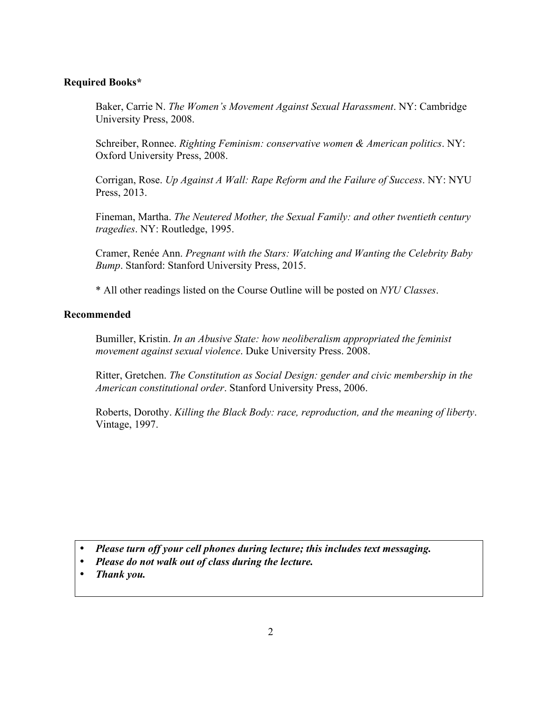# **Required Books\***

Baker, Carrie N. *The Women's Movement Against Sexual Harassment*. NY: Cambridge University Press, 2008.

Schreiber, Ronnee. *Righting Feminism: conservative women & American politics*. NY: Oxford University Press, 2008.

Corrigan, Rose. *Up Against A Wall: Rape Reform and the Failure of Success*. NY: NYU Press, 2013.

Fineman, Martha. *The Neutered Mother, the Sexual Family: and other twentieth century tragedies*. NY: Routledge, 1995.

Cramer, Renée Ann. *Pregnant with the Stars: Watching and Wanting the Celebrity Baby Bump*. Stanford: Stanford University Press, 2015.

\* All other readings listed on the Course Outline will be posted on *NYU Classes*.

# **Recommended**

Bumiller, Kristin. *In an Abusive State: how neoliberalism appropriated the feminist movement against sexual violence*. Duke University Press. 2008.

Ritter, Gretchen. *The Constitution as Social Design: gender and civic membership in the American constitutional order*. Stanford University Press, 2006.

Roberts, Dorothy. *Killing the Black Body: race, reproduction, and the meaning of liberty*. Vintage, 1997.

- *Please turn off your cell phones during lecture; this includes text messaging.*
- *Please do not walk out of class during the lecture.*
- *Thank you.*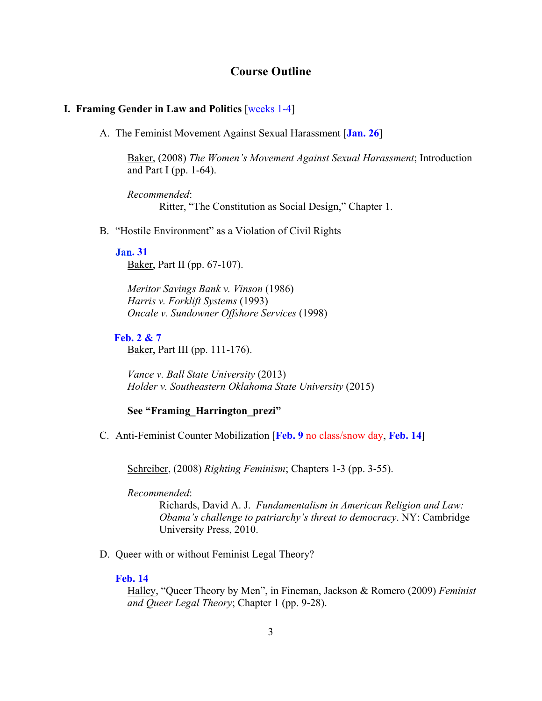# **Course Outline**

## **I. Framing Gender in Law and Politics** [weeks 1-4]

A. The Feminist Movement Against Sexual Harassment [**Jan. 26**]

Baker, (2008) *The Women's Movement Against Sexual Harassment*; Introduction and Part I (pp. 1-64).

*Recommended*: Ritter, "The Constitution as Social Design," Chapter 1.

B. "Hostile Environment" as a Violation of Civil Rights

## **. 31**

Baker, Part II (pp. 67-107).

*Meritor Savings Bank v. Vinson* (1986) *Harris v. Forklift Systems* (1993) *Oncale v. Sundowner Offshore Services* (1998)

## **Feb. 2 & 7**

Baker, Part III (pp. 111-176).

*Vance v. Ball State University* (2013) *Holder v. Southeastern Oklahoma State University* (2015)

# **See "Framing\_Harrington\_prezi"**

C. Anti-Feminist Counter Mobilization [**Feb. 9** no class/snow day, **Feb. 14]**

Schreiber, (2008) *Righting Feminism*; Chapters 1-3 (pp. 3-55).

*Recommended*:

Richards, David A. J. *Fundamentalism in American Religion and Law: Obama's challenge to patriarchy's threat to democracy*. NY: Cambridge University Press, 2010.

D. Queer with or without Feminist Legal Theory?

## **Feb. 14**

Halley, "Queer Theory by Men", in Fineman, Jackson & Romero (2009) *Feminist and Queer Legal Theory*; Chapter 1 (pp. 9-28).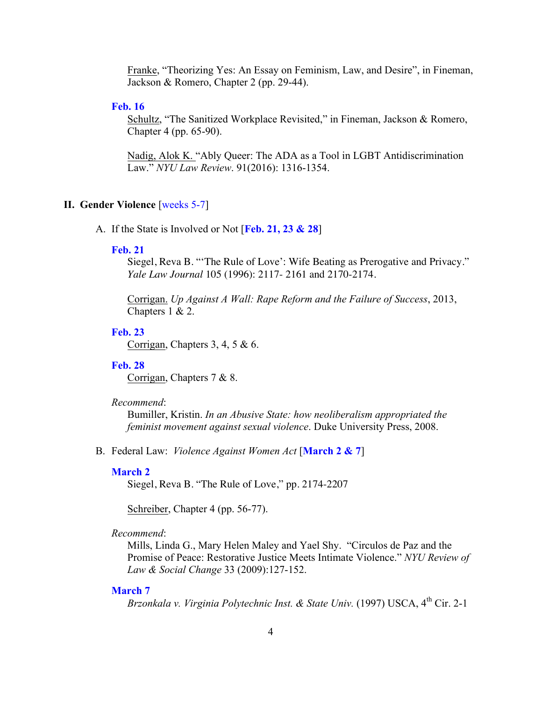Franke, "Theorizing Yes: An Essay on Feminism, Law, and Desire", in Fineman, Jackson & Romero, Chapter 2 (pp. 29-44).

## **Feb. 16**

Schultz, "The Sanitized Workplace Revisited," in Fineman, Jackson & Romero, Chapter 4 (pp. 65-90).

Nadig, Alok K. "Ably Queer: The ADA as a Tool in LGBT Antidiscrimination Law." *NYU Law Review*. 91(2016): 1316-1354.

## **II. Gender Violence** [weeks 5-7]

A. If the State is Involved or Not [**Feb. 21, 23 & 28**]

### **Feb. 21**

Siegel, Reva B. "'The Rule of Love': Wife Beating as Prerogative and Privacy." *Yale Law Journal* 105 (1996): 2117- 2161 and 2170-2174.

Corrigan. *Up Against A Wall: Rape Reform and the Failure of Success*, 2013, Chapters 1 & 2.

#### **Feb. 23**

Corrigan, Chapters 3, 4, 5 & 6.

## **Feb. 28**

Corrigan, Chapters 7 & 8.

#### *Recommend*:

Bumiller, Kristin. *In an Abusive State: how neoliberalism appropriated the feminist movement against sexual violence*. Duke University Press, 2008.

B. Federal Law: *Violence Against Women Act* [**March 2 & 7**]

#### **March 2**

Siegel, Reva B. "The Rule of Love," pp. 2174-2207

Schreiber, Chapter 4 (pp. 56-77).

#### *Recommend*:

Mills, Linda G., Mary Helen Maley and Yael Shy. "Circulos de Paz and the Promise of Peace: Restorative Justice Meets Intimate Violence." *NYU Review of Law & Social Change* 33 (2009):127-152.

#### **March 7**

*Brzonkala v. Virginia Polytechnic Inst. & State Univ.* (1997) USCA, 4<sup>th</sup> Cir. 2-1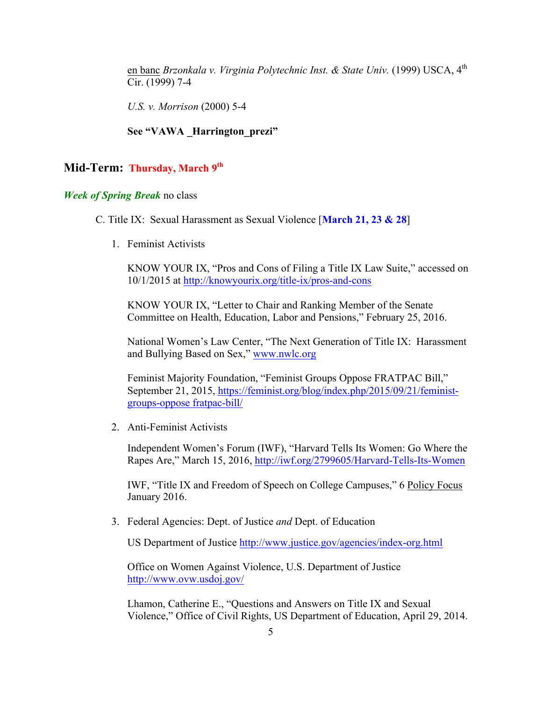en banc *Brzonkala v. Virginia Polytechnic Inst. & State Univ.* (1999) USCA, 4<sup>th</sup> Cir. (1999) 7-4

*U.S. v. Morrison* (2000) 5-4

# See "VAWA **Harrington** prezi"

## Mid-Term: Thursday, March 9<sup>th</sup>

# *Week of Spring Break* no class

- C. Title IX: Sexual Harassment as Sexual Violence [**March 21, 23 & 28**]
	- 1. Feminist Activists

KNOW YOUR IX, "Pros and Cons of Filing a Title IX Law Suite," accessed on 10/1/2015 at http://knowyourix.org/title-ix/pros-and-cons

KNOW YOUR IX, "Letter to Chair and Ranking Member of the Senate Committee on Health, Education, Labor and Pensions," February 25, 2016.

National Women's Law Center, "The Next Generation of Title IX: Harassment and Bullying Based on Sex," www.nwlc.org

Feminist Majority Foundation, "Feminist Groups Oppose FRATPAC Bill," September 21, 2015, https://feminist.org/blog/index.php/2015/09/21/feministgroups-oppose fratpac-bill/

2. Anti-Feminist Activists

Independent Women's Forum (IWF), "Harvard Tells Its Women: Go Where the Rapes Are," March 15, 2016, http://iwf.org/2799605/Harvard-Tells-Its-Women

IWF, "Title IX and Freedom of Speech on College Campuses," 6 Policy Focus January 2016.

3. Federal Agencies: Dept. of Justice *and* Dept. of Education

US Department of Justice http://www.justice.gov/agencies/index-org.html

Office on Women Against Violence, U.S. Department of Justice http://www.ovw.usdoj.gov/

Lhamon, Catherine E., "Questions and Answers on Title IX and Sexual Violence," Office of Civil Rights, US Department of Education, April 29, 2014.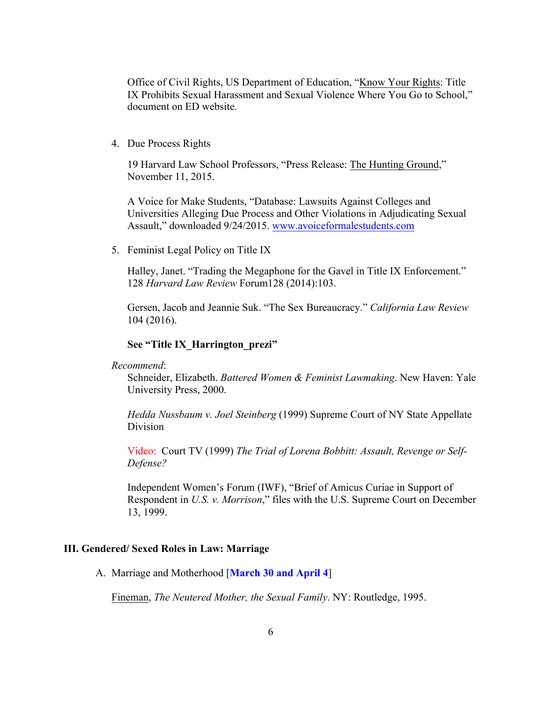Office of Civil Rights, US Department of Education, "Know Your Rights: Title IX Prohibits Sexual Harassment and Sexual Violence Where You Go to School," document on ED website.

#### 4. Due Process Rights

19 Harvard Law School Professors, "Press Release: The Hunting Ground," November 11, 2015.

A Voice for Make Students, "Database: Lawsuits Against Colleges and Universities Alleging Due Process and Other Violations in Adjudicating Sexual Assault," downloaded 9/24/2015. www.avoiceformalestudents.com

5. Feminist Legal Policy on Title IX

Halley, Janet. "Trading the Megaphone for the Gavel in Title IX Enforcement." 128 *Harvard Law Review* Forum128 (2014):103.

Gersen, Jacob and Jeannie Suk. "The Sex Bureaucracy." *California Law Review* 104 (2016).

#### **See "Title IX\_Harrington\_prezi"**

#### *Recommend*:

Schneider, Elizabeth. *Battered Women & Feminist Lawmaking*. New Haven: Yale University Press, 2000.

*Hedda Nussbaum v. Joel Steinberg* (1999) Supreme Court of NY State Appellate Division

Video: Court TV (1999) *The Trial of Lorena Bobbitt: Assault, Revenge or Self-Defense?*

Independent Women's Forum (IWF), "Brief of Amicus Curiae in Support of Respondent in *U.S. v. Morrison*," files with the U.S. Supreme Court on December 13, 1999.

#### **III. Gendered/ Sexed Roles in Law: Marriage**

A. Marriage and Motherhood [**March 30 and April 4**]

Fineman, *The Neutered Mother, the Sexual Family*. NY: Routledge, 1995.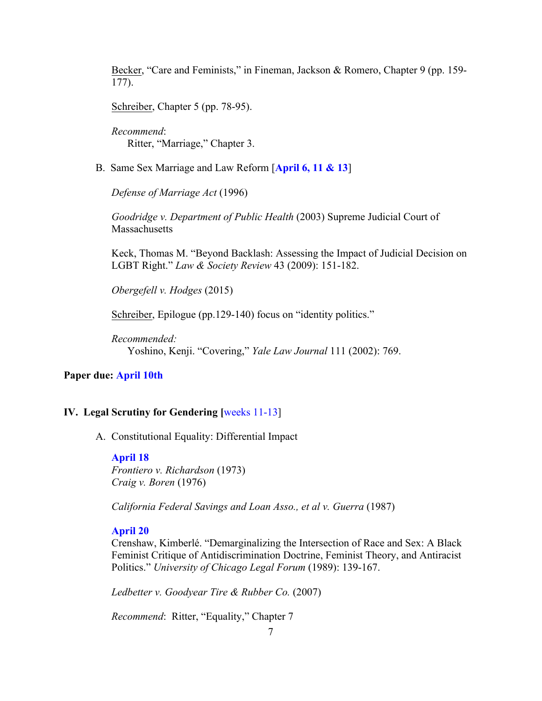Becker, "Care and Feminists," in Fineman, Jackson & Romero, Chapter 9 (pp. 159- 177).

Schreiber, Chapter 5 (pp. 78-95).

*Recommend*: Ritter, "Marriage," Chapter 3.

B. Same Sex Marriage and Law Reform [**April 6, 11 & 13**]

*Defense of Marriage Act* (1996)

*Goodridge v. Department of Public Health* (2003) Supreme Judicial Court of **Massachusetts** 

Keck, Thomas M. "Beyond Backlash: Assessing the Impact of Judicial Decision on LGBT Right." *Law & Society Review* 43 (2009): 151-182.

*Obergefell v. Hodges* (2015)

Schreiber, Epilogue (pp.129-140) focus on "identity politics."

*Recommended:* Yoshino, Kenji. "Covering," *Yale Law Journal* 111 (2002): 769.

# **Paper due: April 10th**

## **IV. Legal Scrutiny for Gendering [weeks 11-13]**

A. Constitutional Equality: Differential Impact

#### **April 18**

*Frontiero v. Richardson* (1973) *Craig v. Boren* (1976)

*California Federal Savings and Loan Asso., et al v. Guerra* (1987)

## **April 20**

Crenshaw, Kimberlé. "Demarginalizing the Intersection of Race and Sex: A Black Feminist Critique of Antidiscrimination Doctrine, Feminist Theory, and Antiracist Politics." *University of Chicago Legal Forum* (1989): 139-167.

*Ledbetter v. Goodyear Tire & Rubber Co.* (2007)

*Recommend*: Ritter, "Equality," Chapter 7